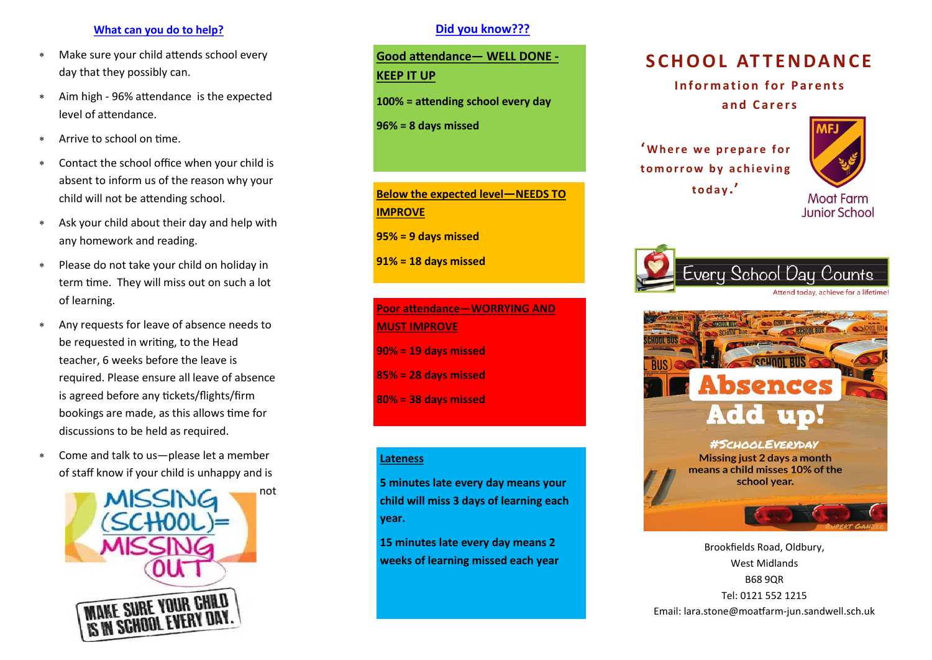### **What can you do to help?**

- Make sure your child attends school every day that they possibly can.
- Aim high 96% attendance is the expected level of attendance.
- Arrive to school on time.
- Contact the school office when your child is absent to inform us of the reason why your child will not be attending school.
- Ask your child about their day and help with any homework and reading.
- Please do not take your child on holiday in term time. They will miss out on such a lot of learning.
- Any requests for leave of absence needs to be requested in writing, to the Head teacher, 6 weeks before the leave is required. Please ensure all leave of absence is agreed before any tickets/flights/firm bookings are made, as this allows time for discussions to be held as required.
- Come and talk to us—please let a member of staff know if your child is unhappy and is



# **Did you know???**

**Good attendance— WELL DONE - KEEP IT UP**

**100% = attending school every day**

**96% = 8 days missed**

**Below the expected level—NEEDS TO IMPROVE**

**95% = 9 days missed** 

**91% = 18 days missed**

**Poor attendance—WORRYING AND MUST IMPROVE 90% = 19 days missed 85% = 28 days missed 80% = 38 days missed**

#### **Lateness**

**5 minutes late every day means your child will miss 3 days of learning each year.**

**15 minutes late every day means 2 weeks of learning missed each year**

# **S C H O O L AT T E N DA N C E**

**Information for Parents** 

**a n d C a r e r s**

<sup>'</sup> Where we prepare for to morrow by achieving **t o d a y .'**



**Junior School** 





Brookfields Road, Oldbury, West Midlands B68 9QR Tel: 0121 552 1215 Email: lara.stone@moatfarm-jun.sandwell.sch.uk